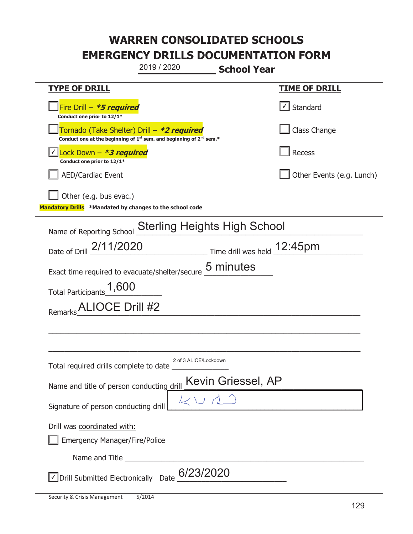|                                                                                                                             | 2019 / 2020                         | <b>School Year</b> |                           |
|-----------------------------------------------------------------------------------------------------------------------------|-------------------------------------|--------------------|---------------------------|
| <b>TYPE OF DRILL</b>                                                                                                        |                                     |                    | <u>TIME OF DRILL</u>      |
| Fire Drill - *5 required<br>Conduct one prior to 12/1*                                                                      |                                     |                    | $\cup$ Standard           |
| Tornado (Take Shelter) Drill – *2 required<br>Conduct one at the beginning of $1^{st}$ sem. and beginning of $2^{nd}$ sem.* |                                     |                    | Class Change              |
| ock Down – <b>*3 required</b><br>Conduct one prior to 12/1*                                                                 |                                     |                    | Recess                    |
| <b>AED/Cardiac Event</b>                                                                                                    |                                     |                    | Other Events (e.g. Lunch) |
| Other (e.g. bus evac.)<br>Mandatory Drills *Mandated by changes to the school code                                          |                                     |                    |                           |
| Name of Reporting School                                                                                                    | <b>Sterling Heights High School</b> |                    |                           |
| Date of Drill 2/11/2020                                                                                                     | Time drill was held 12:45pm         |                    |                           |
| Exact time required to evacuate/shelter/secure                                                                              |                                     | 5 minutes          |                           |
| Total Participants 1,600                                                                                                    |                                     |                    |                           |
| ALIOCE Drill #2<br>Remarks                                                                                                  |                                     |                    |                           |
|                                                                                                                             |                                     |                    |                           |
|                                                                                                                             |                                     |                    |                           |
| Total required drills complete to date                                                                                      | 2 of 3 ALICE/Lockdown               |                    |                           |
| Name and title of person conducting drill <b>Kevin Griessel</b> , AP                                                        |                                     |                    |                           |
| Signature of person conducting drill                                                                                        |                                     |                    |                           |
| Drill was coordinated with:                                                                                                 |                                     |                    |                           |
| <b>Emergency Manager/Fire/Police</b>                                                                                        |                                     |                    |                           |
| √ Drill Submitted Electronically Date                                                                                       | 6/23/2020                           |                    |                           |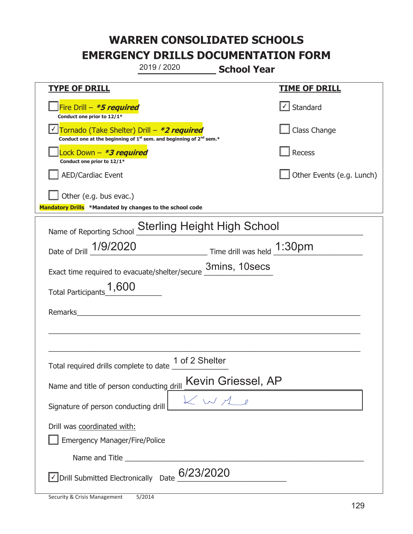|                                                                                    | 2019 / 2020                                                                                 | <b>School Year</b>         |                                   |
|------------------------------------------------------------------------------------|---------------------------------------------------------------------------------------------|----------------------------|-----------------------------------|
| <b>TYPE OF DRILL</b>                                                               |                                                                                             |                            | <u>TIME OF DRILL</u>              |
| Fire Drill - *5 required<br>Conduct one prior to 12/1*                             |                                                                                             |                            | $\lfloor \angle \rfloor$ Standard |
| Tornado (Take Shelter) Drill – *2 required                                         | Conduct one at the beginning of 1 <sup>st</sup> sem. and beginning of 2 <sup>nd</sup> sem.* |                            | Class Change                      |
| Lock Down - *3 required<br>Conduct one prior to 12/1*                              |                                                                                             |                            | Recess                            |
| <b>AED/Cardiac Event</b>                                                           |                                                                                             |                            | Other Events (e.g. Lunch)         |
| Other (e.g. bus evac.)<br>Mandatory Drills *Mandated by changes to the school code |                                                                                             |                            |                                   |
|                                                                                    |                                                                                             |                            |                                   |
| Name of Reporting School                                                           | <b>Sterling Height High School</b>                                                          |                            |                                   |
| Date of Drill 1/9/2020                                                             |                                                                                             | Time drill was held 1:30pm |                                   |
| Exact time required to evacuate/shelter/secure                                     |                                                                                             | 3mins, 10secs              |                                   |
| Total Participants <sup>1</sup> ,600                                               |                                                                                             |                            |                                   |
| Remarks                                                                            |                                                                                             |                            |                                   |
|                                                                                    |                                                                                             |                            |                                   |
|                                                                                    |                                                                                             |                            |                                   |
| Total required drills complete to date $\frac{1 \text{ of } 2 \text{ Shelter}}{2}$ |                                                                                             |                            |                                   |
| Name and title of person conducting drill                                          |                                                                                             | Kevin Griessel, AP         |                                   |
| Signature of person conducting drill                                               |                                                                                             | WAP                        |                                   |
| Drill was coordinated with:                                                        |                                                                                             |                            |                                   |
| <b>Emergency Manager/Fire/Police</b>                                               |                                                                                             |                            |                                   |
|                                                                                    |                                                                                             |                            |                                   |
| $\vee$ Drill Submitted Electronically Date $^{6/23/2020}$                          |                                                                                             |                            |                                   |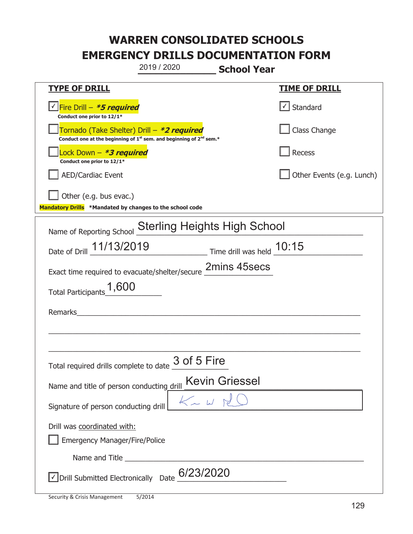|                                                                                    | 2019 / 2020                                                                                 | <b>School Year</b>    |                                   |
|------------------------------------------------------------------------------------|---------------------------------------------------------------------------------------------|-----------------------|-----------------------------------|
| <b>TYPE OF DRILL</b>                                                               |                                                                                             |                       | <b>TIME OF DRILL</b>              |
| <u>√ Fire Drill – <i>*5 required</i></u><br>Conduct one prior to 12/1*             |                                                                                             |                       | $\lfloor \angle \rfloor$ Standard |
| Tornado (Take Shelter) Drill – *2 required                                         | Conduct one at the beginning of 1 <sup>st</sup> sem. and beginning of 2 <sup>nd</sup> sem.* |                       | Class Change                      |
| Lock Down - <b>*3 required</b><br>Conduct one prior to 12/1*                       |                                                                                             |                       | Recess                            |
| <b>AED/Cardiac Event</b>                                                           |                                                                                             |                       | Other Events (e.g. Lunch)         |
| Other (e.g. bus evac.)<br>Mandatory Drills *Mandated by changes to the school code |                                                                                             |                       |                                   |
| Name of Reporting School                                                           | <b>Sterling Heights High School</b>                                                         |                       |                                   |
| Date of Drill 11/13/2019                                                           | Time drill was held 10:15                                                                   |                       |                                   |
| Exact time required to evacuate/shelter/secure 2mins 45secs                        |                                                                                             |                       |                                   |
| Total Participants <sup>1</sup> ,600                                               |                                                                                             |                       |                                   |
| Remarks                                                                            |                                                                                             |                       |                                   |
|                                                                                    |                                                                                             |                       |                                   |
|                                                                                    |                                                                                             |                       |                                   |
| Total required drills complete to date                                             | 3 of 5 Fire                                                                                 |                       |                                   |
| Name and title of person conducting drill                                          |                                                                                             | <b>Kevin Griessel</b> |                                   |
| Signature of person conducting drill                                               | $k$ and $k$                                                                                 |                       |                                   |
| Drill was coordinated with:<br><b>Emergency Manager/Fire/Police</b>                |                                                                                             |                       |                                   |
|                                                                                    |                                                                                             |                       |                                   |
| Oprill Submitted Electronically Date 6/23/2020                                     |                                                                                             |                       |                                   |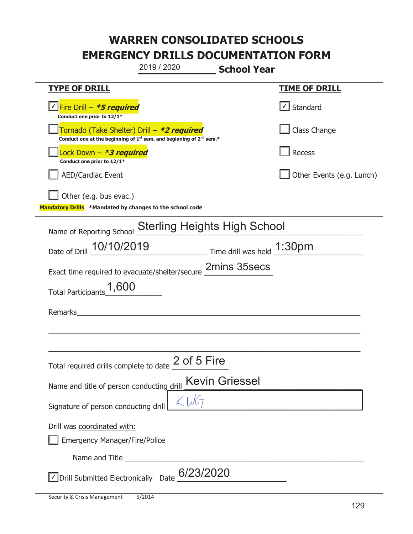|                                                                                    | 2019 / 2020                                                                                 | <b>School Year</b>                                                    |                                   |
|------------------------------------------------------------------------------------|---------------------------------------------------------------------------------------------|-----------------------------------------------------------------------|-----------------------------------|
| <u>TYPE OF DRILL</u>                                                               |                                                                                             |                                                                       | <u>TIME OF DRILL</u>              |
| √Fire Drill – <i>*5 required</i><br>Conduct one prior to 12/1*                     |                                                                                             |                                                                       | $\lfloor \angle \rfloor$ Standard |
| Tornado (Take Shelter) Drill – *2 required                                         | Conduct one at the beginning of 1 <sup>st</sup> sem. and beginning of 2 <sup>nd</sup> sem.* |                                                                       | Class Change                      |
| Lock Down - *3 required<br>Conduct one prior to 12/1*                              |                                                                                             |                                                                       | Recess                            |
| <b>AED/Cardiac Event</b>                                                           |                                                                                             |                                                                       | Other Events (e.g. Lunch)         |
| Other (e.g. bus evac.)<br>Mandatory Drills *Mandated by changes to the school code |                                                                                             |                                                                       |                                   |
| Name of Reporting School                                                           | <b>Sterling Heights High School</b>                                                         |                                                                       |                                   |
| Date of Drill 10/10/2019                                                           |                                                                                             | $\frac{1:30}{\text{pm}}$ Time drill was held $\frac{1:30}{\text{pm}}$ |                                   |
| Exact time required to evacuate/shelter/secure                                     |                                                                                             | 2mins 35secs                                                          |                                   |
| Total Participants <sup>1</sup> ,600                                               |                                                                                             |                                                                       |                                   |
| Remarks                                                                            |                                                                                             |                                                                       |                                   |
|                                                                                    |                                                                                             |                                                                       |                                   |
|                                                                                    |                                                                                             |                                                                       |                                   |
| Total required drills complete to date $\angle$                                    | of 5 Fire                                                                                   |                                                                       |                                   |
| Name and title of person conducting drill                                          |                                                                                             | <b>Kevin Griessel</b>                                                 |                                   |
| Signature of person conducting drill                                               |                                                                                             |                                                                       |                                   |
| Drill was coordinated with:<br><b>Emergency Manager/Fire/Police</b>                |                                                                                             |                                                                       |                                   |
|                                                                                    |                                                                                             |                                                                       |                                   |
| Incorporal Submitted Electronically Date 6/23/2020                                 |                                                                                             |                                                                       |                                   |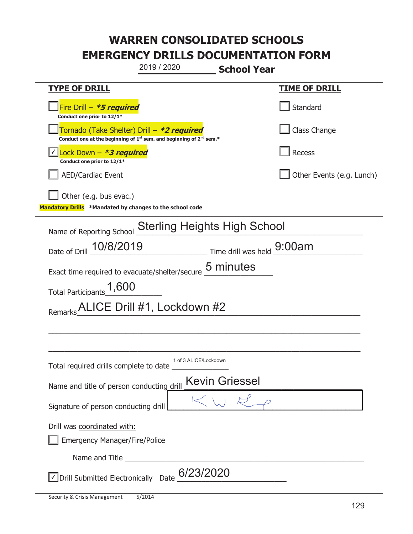|                                                                                    | 2019 / 2020                                                                   | <b>School Year</b>         |                           |
|------------------------------------------------------------------------------------|-------------------------------------------------------------------------------|----------------------------|---------------------------|
| <b>TYPE OF DRILL</b>                                                               |                                                                               |                            | <u>TIME OF DRILL</u>      |
| Fire Drill - *5 required<br>Conduct one prior to 12/1*                             |                                                                               |                            | Standard                  |
| Tornado (Take Shelter) Drill – *2 required                                         | Conduct one at the beginning of $1^{st}$ sem. and beginning of $2^{nd}$ sem.* |                            | Class Change              |
| Lock Down - *3 required<br>Conduct one prior to 12/1*                              |                                                                               |                            | Recess                    |
| <b>AED/Cardiac Event</b>                                                           |                                                                               |                            | Other Events (e.g. Lunch) |
| Other (e.g. bus evac.)<br>Mandatory Drills *Mandated by changes to the school code |                                                                               |                            |                           |
| Name of Reporting School                                                           | <b>Sterling Heights High School</b>                                           |                            |                           |
| Date of Drill 10/8/2019                                                            |                                                                               | Time drill was held 9:00am |                           |
| Exact time required to evacuate/shelter/secure                                     |                                                                               | 5 minutes                  |                           |
| Total Participants <sup>1</sup> ,600                                               |                                                                               |                            |                           |
| Remarks                                                                            | ALICE Drill #1, Lockdown #2                                                   |                            |                           |
|                                                                                    |                                                                               |                            |                           |
|                                                                                    |                                                                               |                            |                           |
| Total required drills complete to date                                             | 1 of 3 ALICE/Lockdown                                                         |                            |                           |
| Name and title of person conducting drill                                          |                                                                               | <b>Kevin Griessel</b>      |                           |
| Signature of person conducting drill                                               |                                                                               |                            |                           |
| Drill was coordinated with:                                                        |                                                                               |                            |                           |
| <b>Emergency Manager/Fire/Police</b>                                               |                                                                               |                            |                           |
|                                                                                    | 6/23/2020                                                                     |                            |                           |
| Drill Submitted Electronically Date                                                |                                                                               |                            |                           |